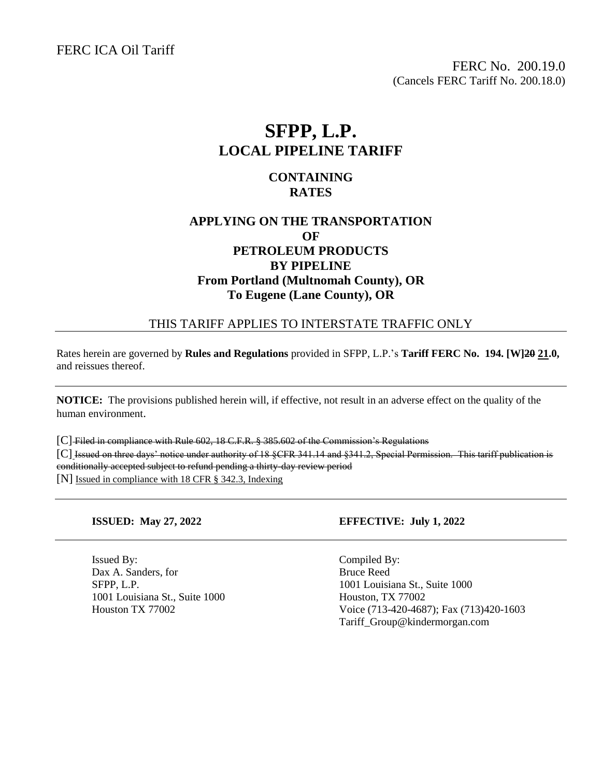FERC ICA Oil Tariff

FERC No. 200.19.0 (Cancels FERC Tariff No. 200.18.0)

# **SFPP, L.P. LOCAL PIPELINE TARIFF**

#### **CONTAINING RATES**

## **APPLYING ON THE TRANSPORTATION OF PETROLEUM PRODUCTS BY PIPELINE From Portland (Multnomah County), OR To Eugene (Lane County), OR**

#### THIS TARIFF APPLIES TO INTERSTATE TRAFFIC ONLY

Rates herein are governed by **Rules and Regulations** provided in SFPP, L.P.'s **Tariff FERC No. 194. [W]20 21.0,** and reissues thereof.

**NOTICE:** The provisions published herein will, if effective, not result in an adverse effect on the quality of the human environment.

[C] Filed in compliance with Rule 602, 18 C.F.R. § 385.602 of the Commission's Regulations [C] Issued on three days' notice under authority of 18 §CFR 341.14 and §341.2, Special Permission. This tariff publication is conditionally accepted subject to refund pending a thirty-day review period [N] Issued in compliance with 18 CFR § 342.3, Indexing

Issued By: Compiled By: Dax A. Sanders, for Bruce Reed 1001 Louisiana St., Suite 1000 Houston, TX 77002

#### **ISSUED: May 27, 2022 EFFECTIVE: July 1, 2022**

SFPP, L.P. 1001 Louisiana St., Suite 1000 Houston TX 77002 Voice (713-420-4687); Fax (713)420-1603 Tariff\_Group@kindermorgan.com